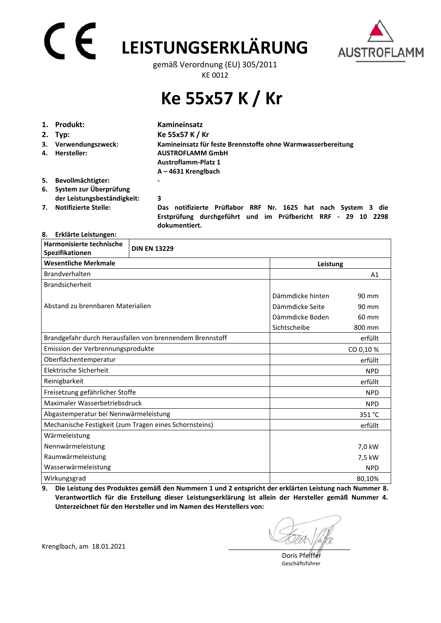# **LEISTUNGSERKLÄRUNG**



gemäß Verordnung (EU) 305/2011 KE 0012

## **Ke 55x57 K / Kr**

|    | 1. Produkt:                                              | Kamineinsatz                                                                                                                                   |  |  |
|----|----------------------------------------------------------|------------------------------------------------------------------------------------------------------------------------------------------------|--|--|
|    | 2. Typ:                                                  | Ke 55x57 K / Kr                                                                                                                                |  |  |
| 4. | 3. Verwendungszweck:<br>Hersteller:                      | Kamineinsatz für feste Brennstoffe ohne Warmwasserbereitung<br><b>AUSTROFLAMM GmbH</b><br><b>Austroflamm-Platz 1</b>                           |  |  |
|    |                                                          | $A - 4631$ Krenglbach                                                                                                                          |  |  |
| 5. | Bevollmächtigter:                                        |                                                                                                                                                |  |  |
|    | 6. System zur Überprüfung<br>der Leistungsbeständigkeit: | 3                                                                                                                                              |  |  |
| 7. | <b>Notifizierte Stelle:</b>                              | Das notifizierte Prüflabor RRF Nr. 1625 hat nach System 3 die<br>Erstprüfung durchgeführt und im Prüfbericht RRF - 29 10 2298<br>dokumentiert. |  |  |

#### **8. Erklärte Leistungen:**

| Harmonisierte technische<br>Spezifikationen | <b>DIN EN 13229</b>                                      |                  |                |  |
|---------------------------------------------|----------------------------------------------------------|------------------|----------------|--|
| <b>Wesentliche Merkmale</b>                 |                                                          | Leistung         |                |  |
| Brandverhalten                              |                                                          |                  | A <sub>1</sub> |  |
| <b>Brandsicherheit</b>                      |                                                          |                  |                |  |
|                                             |                                                          | Dämmdicke hinten | 90 mm          |  |
| Abstand zu brennbaren Materialien           |                                                          | Dämmdicke Seite  | 90 mm          |  |
|                                             |                                                          | Dämmdicke Boden  | 60 mm          |  |
|                                             |                                                          | Sichtscheibe     | 800 mm         |  |
|                                             | Brandgefahr durch Herausfallen von brennendem Brennstoff |                  | erfüllt        |  |
| Emission der Verbrennungsprodukte           |                                                          |                  | CO 0,10%       |  |
| Oberflächentemperatur                       |                                                          |                  | erfüllt        |  |
| Elektrische Sicherheit                      |                                                          |                  | <b>NPD</b>     |  |
| Reinigbarkeit                               |                                                          |                  | erfüllt        |  |
| Freisetzung gefährlicher Stoffe             |                                                          |                  | <b>NPD</b>     |  |
| Maximaler Wasserbetriebsdruck               |                                                          |                  | <b>NPD</b>     |  |
| Abgastemperatur bei Nennwärmeleistung       |                                                          |                  | 351 °C         |  |
|                                             | Mechanische Festigkeit (zum Tragen eines Schornsteins)   |                  | erfüllt        |  |
| Wärmeleistung                               |                                                          |                  |                |  |
| Nennwärmeleistung                           |                                                          |                  | 7,0 kW         |  |
| Raumwärmeleistung                           |                                                          |                  | 7,5 kW         |  |
| Wasserwärmeleistung                         |                                                          |                  | <b>NPD</b>     |  |
| Wirkungsgrad                                |                                                          |                  | 80,10%         |  |

**9. Die Leistung des Produktes gemäß den Nummern 1 und 2 entspricht der erklärten Leistung nach Nummer 8. Verantwortlich für die Erstellung dieser Leistungserklärung ist allein der Hersteller gemäß Nummer 4. Unterzeichnet für den Hersteller und im Namen des Herstellers von:** 

Krenglbach, am 18.01.2021

 Doris Pfeiffer Geschäftsführer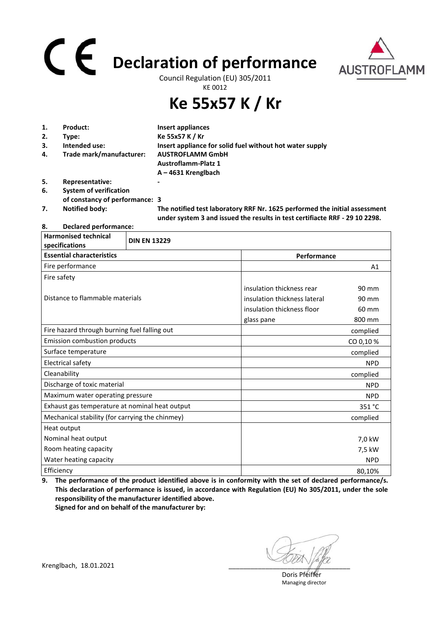# **Declaration of performance**



Council Regulation (EU) 305/2011 KE 0012

**Ke 55x57 K / Kr**

| 1. | Product:                       | Insert appliances                                                                                                                                         |
|----|--------------------------------|-----------------------------------------------------------------------------------------------------------------------------------------------------------|
| 2. | Type:                          | Ke 55x57 K / Kr                                                                                                                                           |
| 3. | Intended use:                  | Insert appliance for solid fuel without hot water supply                                                                                                  |
| 4. | Trade mark/manufacturer:       | <b>AUSTROFLAMM GmbH</b>                                                                                                                                   |
|    |                                | <b>Austroflamm-Platz 1</b>                                                                                                                                |
|    |                                | $A - 4631$ Krenglbach                                                                                                                                     |
| 5. | Representative:                |                                                                                                                                                           |
| 6. | <b>System of verification</b>  |                                                                                                                                                           |
|    | of constancy of performance: 3 |                                                                                                                                                           |
| 7. | <b>Notified body:</b>          | The notified test laboratory RRF Nr. 1625 performed the initial assessment<br>under system 3 and issued the results in test certifiacte RRF - 29 10 2298. |

#### **8. Declared performance:**

| <b>Harmonised technical</b><br>specifications   | <b>DIN EN 13229</b> |                              |                |
|-------------------------------------------------|---------------------|------------------------------|----------------|
| <b>Essential characteristics</b>                | Performance         |                              |                |
| Fire performance                                |                     |                              | A <sub>1</sub> |
| Fire safety                                     |                     |                              |                |
|                                                 |                     | insulation thickness rear    | 90 mm          |
| Distance to flammable materials                 |                     | insulation thickness lateral | 90 mm          |
|                                                 |                     | insulation thickness floor   | 60 mm          |
|                                                 |                     | glass pane                   | 800 mm         |
| Fire hazard through burning fuel falling out    |                     |                              | complied       |
| Emission combustion products                    |                     |                              | CO 0,10%       |
| Surface temperature                             |                     |                              | complied       |
| Electrical safety                               |                     |                              | <b>NPD</b>     |
| Cleanability                                    |                     |                              | complied       |
| Discharge of toxic material                     |                     |                              | <b>NPD</b>     |
| Maximum water operating pressure                |                     |                              | <b>NPD</b>     |
| Exhaust gas temperature at nominal heat output  |                     |                              | 351 °C         |
| Mechanical stability (for carrying the chinmey) |                     |                              | complied       |
| Heat output                                     |                     |                              |                |
| Nominal heat output                             |                     |                              | 7,0 kW         |
| Room heating capacity                           |                     |                              | 7,5 kW         |
| Water heating capacity                          |                     |                              | <b>NPD</b>     |
| Efficiency                                      |                     |                              | 80,10%         |

**9. The performance of the product identified above is in conformity with the set of declared performance/s. This declaration of performance is issued, in accordance with Regulation (EU) No 305/2011, under the sole responsibility of the manufacturer identified above. Signed for and on behalf of the manufacturer by:**

 Doris Pfeiffer Managing director

Krenglbach, 18.01.2021